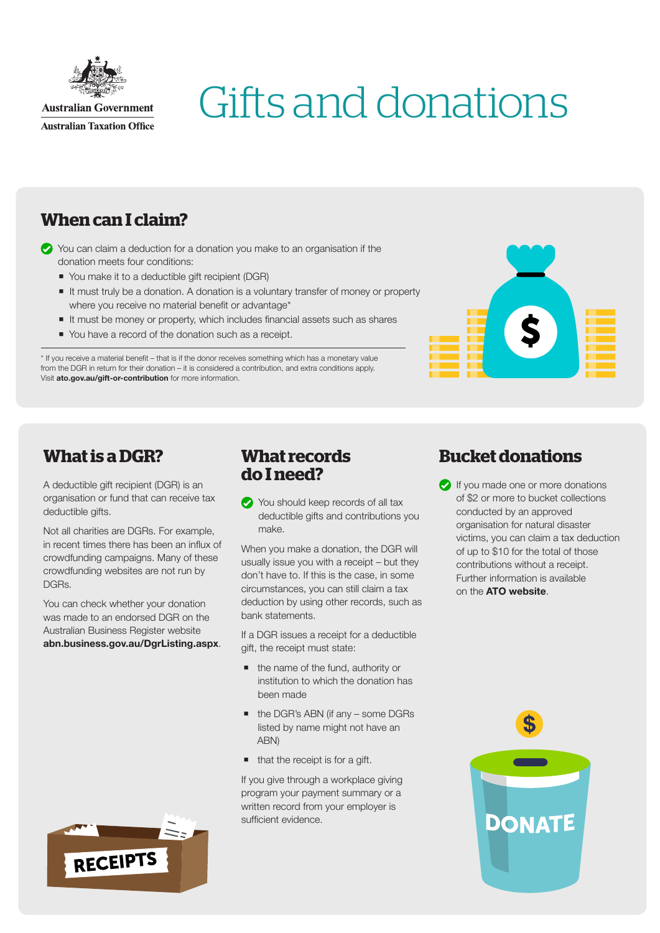

# Gifts and donations

## **When can I claim?**

- You can claim a deduction for a donation you make to an organisation if the donation meets four conditions:
	- You make it to a deductible gift recipient (DGR)
	- It must truly be a donation. A donation is a voluntary transfer of money or property where you receive no material benefit or advantage\*
	- It must be money or property, which includes financial assets such as shares
	- You have a record of the donation such as a receipt.

\* If you receive a material benefit – that is if the donor receives something which has a monetary value from the DGR in return for their donation – it is considered a contribution, and extra conditions apply. Visit [ato.gov.au/gift-or-contribution](http://www.ato.gov.au/gift-or-contribution) for more information.



## **What is a DGR?**

A deductible gift recipient (DGR) is an organisation or fund that can receive tax deductible gifts.

Not all charities are DGRs. For example, in recent times there has been an influx of crowdfunding campaigns. Many of these crowdfunding websites are not run by DGRs.

You can check whether your donation was made to an endorsed DGR on the Australian Business Register website [abn.business.gov.au/DgrListing.aspx](http://www.abn.business.gov.au/DgrListing.aspx).

#### **What records do I need?**

You should keep records of all tax deductible gifts and contributions you make.

When you make a donation, the DGR will usually issue you with a receipt – but they don't have to. If this is the case, in some circumstances, you can still claim a tax deduction by using other records, such as bank statements.

If a DGR issues a receipt for a deductible gift, the receipt must state:

- the name of the fund, authority or institution to which the donation has been made
- the DGR's ABN (if any some DGRs listed by name might not have an ABN)
- that the receipt is for a gift.

If you give through a workplace giving program your payment summary or a written record from your employer is sufficient evidence.

## **Bucket donations**

**If you made one or more donations** of \$2 or more to bucket collections conducted by an approved organisation for natural disaster victims, you can claim a tax deduction of up to \$10 for the total of those contributions without a receipt. Further information is available on the [ATO website](http://www.ato.gov.au).